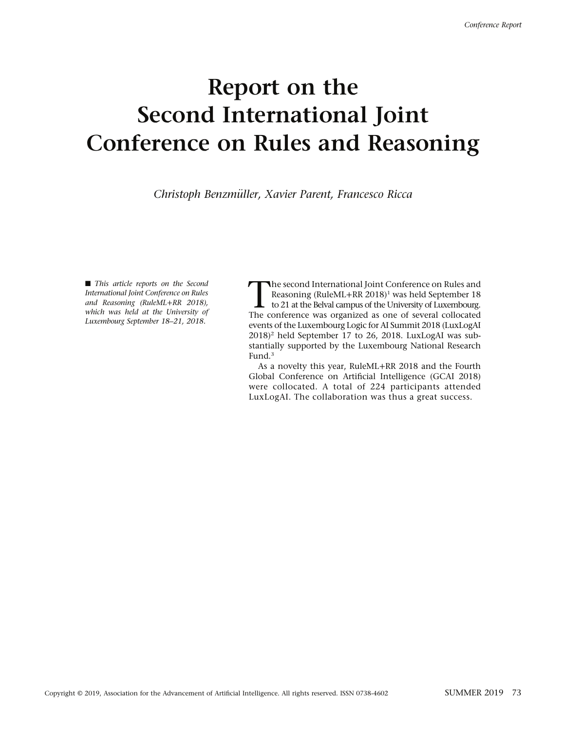## Report on the Second International Joint Conference on Rules and Reasoning

Christoph Benzmuller, Xavier Parent, Francesco Ricca ¨

 $\blacksquare$  This article reports on the Second International Joint Conference on Rules and Reasoning (RuleML+RR 2018), which was held at the University of Luxembourg September 18–21, 2018.

The second International Joint Conference on Rules and<br>Reasoning (RuleML+RR 2018)<sup>1</sup> was held September 18<br>to 21 at the Belval campus of the University of Luxembourg.<br>The conference was organized as one of several collocat Reasoning (RuleML+RR 2018)<sup>1</sup> was held September 18 The conference was organized as one of several collocated events of the Luxembourg Logic for AI Summit 2018 (LuxLogAI  $2018$ <sup>2</sup> held September 17 to 26, 2018. LuxLogAI was substantially supported by the Luxembourg National Research Fund.3

As a novelty this year, RuleML+RR 2018 and the Fourth Global Conference on Artificial Intelligence (GCAI 2018) were collocated. A total of 224 participants attended LuxLogAI. The collaboration was thus a great success.